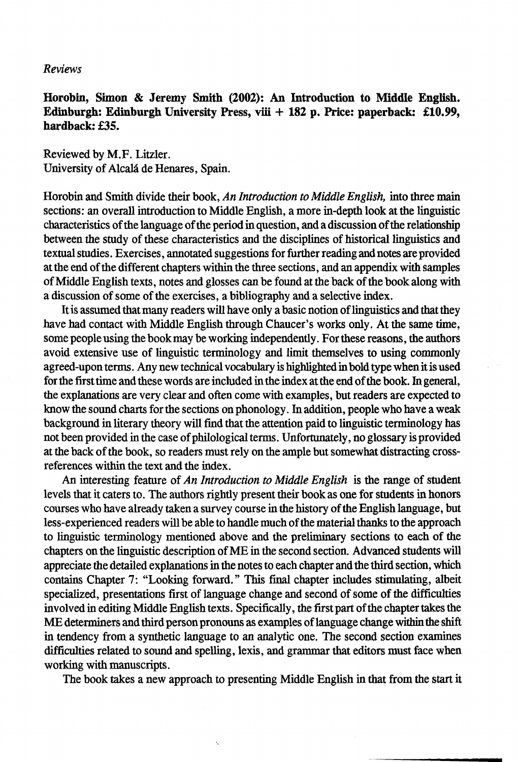# *Reviews*

Horobin, Simon & Jeremy Smith (2002): An Introduction to Middle English. Edinburgh: Edinburgh University Press, viii + 182 p. Price: paperback: £10.99, hardback: £35.

Reviewed by M.F. Litzler. University of Alcala de Henares, Spain.

Horobin and Smith divide their book, *An Introduction to Middle English,* into three main sections: an overall introduction to Middle English, a more in-depth look at the linguistic characteristics of the language of the period in question, and a discussion of the relationship between the study of these characteristics and the disciplines of historical linguistics and textual studies. Exercises, annotated suggestions for further reading and notes are provided at the end of the different chapters within the three sections, and an appendix with samples of Middle English texts, notes and glosses can be found at the back of the book along with a discussion of some of the exercises, a bibliography and a selective index.

It is assumed that many readers will have only a basic notion of linguistics and that they have had contact with Middle English through Chancer's works only. At the same time, some people using the book may be working independently. For these reasons, the authors avoid extensive use of linguistic terminology and limit themselves to using commonly agreed-upon terms. Any new technical vocabulary is highlighted in bold type when it is used for the first time and these words are included in the index at the end of the book. In general, the explanations are very clear and often come with examples, but readers are expected to know the sound charts for the sections on phonology. In addition, people who have a weak background in literary theory will find that the attention paid to linguistic terminology has not been provided in the case of philological terms. Unfortunately, no glossary is provided at the back of the book, so readers must rely on the ample but somewhat distracting crossreferences within the text and the index.

An interesting feature of *An Introduction to Middle English* is the range of student levels that it caters to. The authors rightly present their book as one for students in honors courses who have already taken a survey course in the history of the English language, but less-experienced readers will be able to handle much of the material thanks to the approach to linguistic terminology mentioned above and the preliminary sections to each of the chapters on the linguistic description of ME in the second section. Advanced students will appreciate the detailed explanations in the notes to each chapter and the third section, which contains Chapter 7: "Looking forward." This final chapter includes stimulating, albeit specialized, presentations first of language change and second of some of the difficulties involved in editing Middle English texts. Specifically, the first part of the chapter takes the ME determiners and third person pronouns as examples of language change within the shift in tendency from a synthetic language to an analytic one. The second section examines difficulties related to sound and spelling, lexis, and grammar that editors must face when working with manuscripts.

The book takes a new approach to presenting Middle English in that from the start it

ŀ,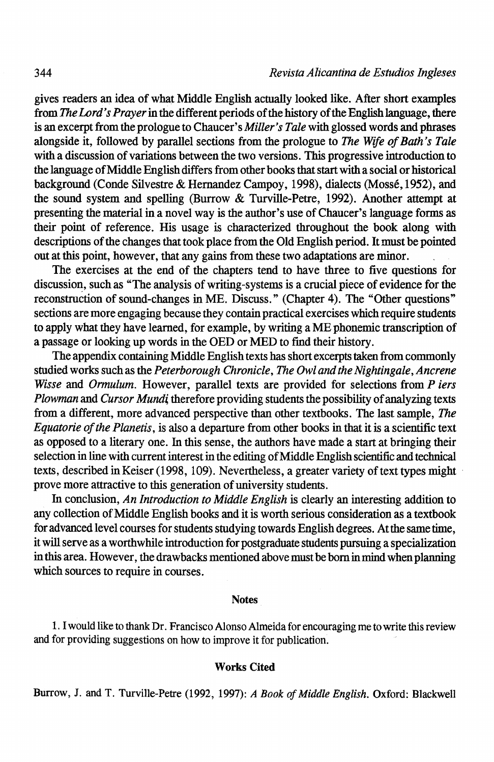gives readers an idea of what Middle English actually looked like. After short examples from *The Lord's Prayer* in the different periods of the history of the English language, there is an excerpt from the prologue to Chaucer's *Miller's Tale* with glossed words and phrases alongside it, followed by parallel sections from the prologue to *The Wife of Bath's Tale*  with a discussion of variations between the two versions. This progressive introduction to the language of Middle English differs from other books that start with a social or historical background (Conde Silvestre & Hemandez Campoy, 1998), dialects (Mosse, 1952), and the sound system and spelling (Burrow & Turville-Petre, 1992). Another attempt at presenting the material in a novel way is the author's use ofChaucer's language forms as their point of reference. His usage is characterized throughout the book along with descriptions of the changes that took place from the Old English period. It must be pointed out at this point, however, that any gains from these two adaptations are minor.

The exercises at the end of the chapters tend to have three to five questions for discussion, such as "The analysis of writing-systems is a crucial piece of evidence for the reconstruction of sound-changes in ME. Discuss." (Chapter 4). The "Other questions" sections are more engaging because they contain practical exercises which require students to apply what they have learned, for example, by writing a ME phonemic transcription of a passage or looking up words in the OED or MED to find their history.

The appendix containing Middle English texts has short excerpts taken from commonly studied works such as the *Peterborough Chronicle, The Owl and the Nightingale, Ancrene Wisse* and *Ormulum.* However, parallel texts are provided for selections from *P iers Plowman and Cursor Mundi* therefore providing students the possibility of analyzing texts from a different, more advanced perspective than other textbooks. The last sample, *The Equatorie of the Planetis,* is also a departure from other books in that it is a scientific text as opposed to a literary one. In this sense, the authors have made a start at bringing their selection in line with current interest in the editing of Middle English scientific and technical texts, described in Keiser (1998, 109). Nevertheless, a greater variety of text types might prove more attractive to this generation of university students.

In conclusion, *An Introduction to Middle English* is clearly an interesting addition to any collection of Middle English books and it is worth serious consideration as a textbook for advanced level courses for students studying towards English degrees. At the same time, it will serve as a worthwhile introduction for postgraduate students pursuing a specialization in this area. However, the drawbacks mentioned above must be born in mind when planning which sources to require in courses.

## Notes

1. I would like to thank Dr. Francisco Alonso Almeida for encouraging me to write this review and for providing suggestions on how to improve it for publication.

#### Works Cited

Burrow, J. and T. Turville-Petre (1992, 1997): *A Book of Middle English.* Oxford: Blackwell